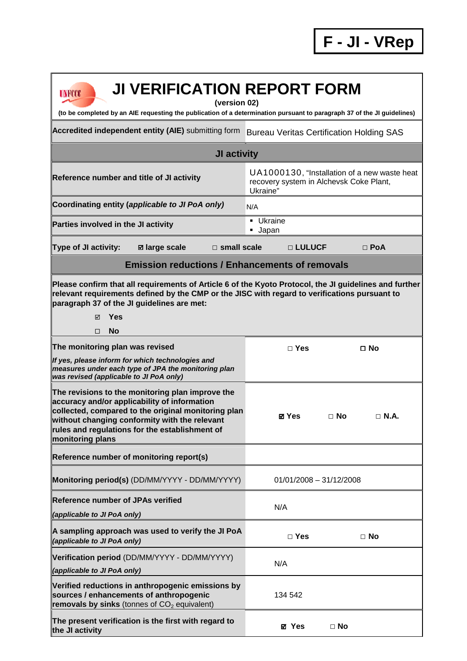**F - JI - VRep**

| <b>JI VERIFICATION REPORT FORM</b><br>UNFCCC<br>(version 02)<br>(to be completed by an AIE requesting the publication of a determination pursuant to paragraph 37 of the JI guidelines)                                                                                             |                                                                                                     |  |
|-------------------------------------------------------------------------------------------------------------------------------------------------------------------------------------------------------------------------------------------------------------------------------------|-----------------------------------------------------------------------------------------------------|--|
| <b>Accredited independent entity (AIE)</b> submitting form                                                                                                                                                                                                                          | <b>Bureau Veritas Certification Holding SAS</b>                                                     |  |
| JI activity                                                                                                                                                                                                                                                                         |                                                                                                     |  |
| Reference number and title of JI activity                                                                                                                                                                                                                                           | UA1000130, "Installation of a new waste heat<br>recovery system in Alchevsk Coke Plant,<br>Ukraine" |  |
| Coordinating entity (applicable to JI PoA only)                                                                                                                                                                                                                                     | N/A                                                                                                 |  |
| Parties involved in the JI activity                                                                                                                                                                                                                                                 | <b>Ukraine</b><br><b>Japan</b>                                                                      |  |
| $\square$ small scale<br><b>Type of JI activity:</b><br><b>Ø</b> large scale                                                                                                                                                                                                        | □ LULUCF<br>$\Box$ PoA                                                                              |  |
| <b>Emission reductions / Enhancements of removals</b>                                                                                                                                                                                                                               |                                                                                                     |  |
| Please confirm that all requirements of Article 6 of the Kyoto Protocol, the JI guidelines and further<br>relevant requirements defined by the CMP or the JISC with regard to verifications pursuant to<br>paragraph 37 of the JI guidelines are met:<br><b>Yes</b><br>⊠<br>No<br>□ |                                                                                                     |  |
| The monitoring plan was revised                                                                                                                                                                                                                                                     | $\Box$ Yes<br>$\square$ No                                                                          |  |
| If yes, please inform for which technologies and<br>measures under each type of JPA the monitoring plan<br>was revised (applicable to JI PoA only)                                                                                                                                  |                                                                                                     |  |
| The revisions to the monitoring plan improve the<br>accuracy and/or applicability of information<br>collected, compared to the original monitoring plan<br>without changing conformity with the relevant<br>rules and regulations for the establishment of<br>monitoring plans      | ⊠ Yes<br>$\Box$ N.A.<br>$\Box$ No                                                                   |  |
| Reference number of monitoring report(s)                                                                                                                                                                                                                                            |                                                                                                     |  |
| Monitoring period(s) (DD/MM/YYYY - DD/MM/YYYY)                                                                                                                                                                                                                                      | $01/01/2008 - 31/12/2008$                                                                           |  |
| <b>Reference number of JPAs verified</b><br>(applicable to JI PoA only)                                                                                                                                                                                                             | N/A                                                                                                 |  |
| A sampling approach was used to verify the JI PoA<br>(applicable to JI PoA only)                                                                                                                                                                                                    | $\Box$ Yes<br>$\Box$ No                                                                             |  |
| Verification period (DD/MM/YYYY - DD/MM/YYYY)<br>(applicable to JI PoA only)                                                                                                                                                                                                        | N/A                                                                                                 |  |
| Verified reductions in anthropogenic emissions by<br>sources / enhancements of anthropogenic<br>removals by sinks (tonnes of $CO2$ equivalent)                                                                                                                                      | 134 542                                                                                             |  |
| The present verification is the first with regard to<br>the JI activity                                                                                                                                                                                                             | <b>Ø</b> Yes<br>$\Box$ No                                                                           |  |